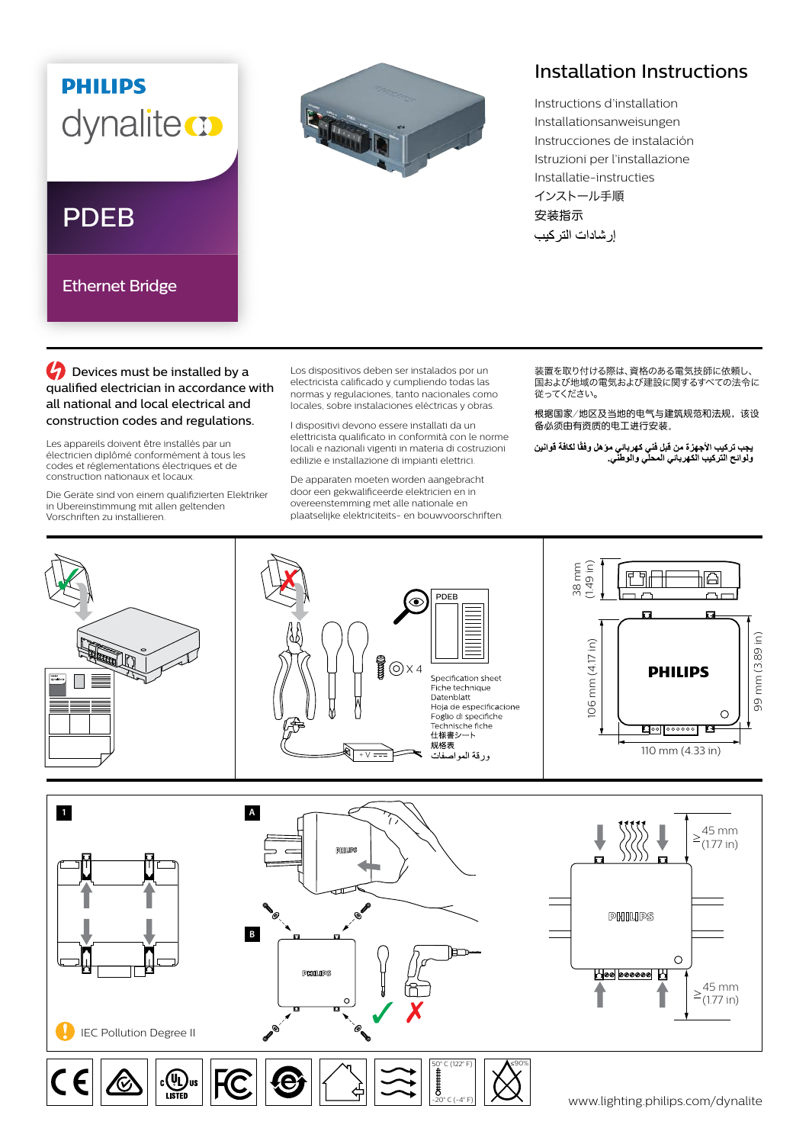## **PHILIPS** dynalite **m**

## PDEB

Ethernet Bridge



## Installation Instructions

Instructions d'installation Installationsanweisungen Instrucciones de instalación Istruzioni per l'installazione Installatie-instructies インストール手順 安装指示 إر شادات التر كيب

**C** Devices must be installed by a qualified electrician in accordance with all national and local electrical and construction codes and regulations.

Les appareils doivent être installés par un électricien diplômé conformément à tous les codes et réglementations électriques et de construction nationaux et locaux.

Die Geräte sind von einem qualifizierten Elektriker in Übereinstimmung mit allen geltenden Vorschriften zu installieren.

Los dispositivos deben ser instalados por un electricista calificado y cumpliendo todas las normas y regulaciones, tanto nacionales como locales, sobre instalaciones eléctricas y obras.

I dispositivi devono essere installati da un elettricista qualificato in conformità con le norme locali e nazionali vigenti in materia di costruzioni edilizie e installazione di impianti elettrici.

De apparaten moeten worden aangebracht door een gekwalificeerde elektricien en in overeenstemming met alle nationale en plaatselijke elektriciteits- en bouwvoorschriften. 装置を取り付ける際は、資格のある電気技師に依頼し、 ーーーーーーの あいい ストック・コントントーム しくく こうしゃ 従ってください。

根据国家/地区及当地的电气与建筑规范和法规,该设 备必须由有资质的电工进行安装。

يجب تركيب الأجهزة من قبل فني كهرباني موّ هل وفقًا لكافة قوانين<br>ولوائح التركيب الكهرباني المحلي والوطني<sub>.</sub>